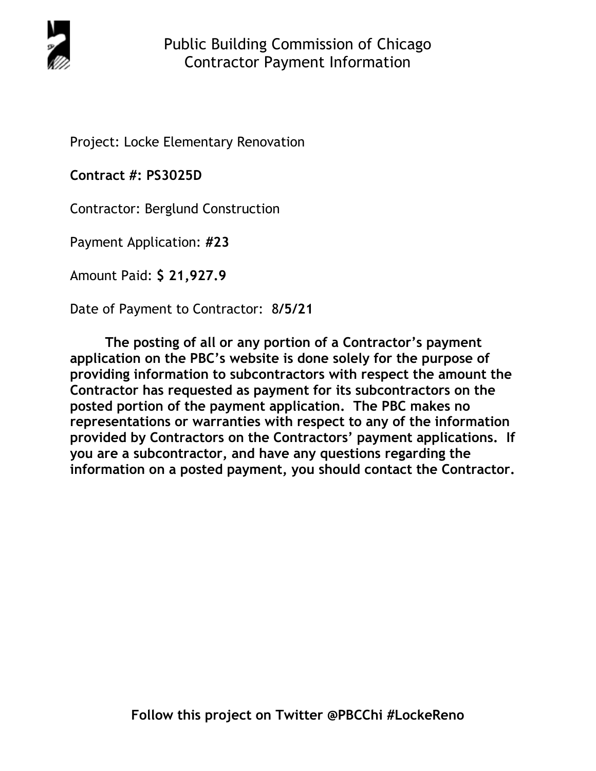

Project: Locke Elementary Renovation

**Contract #: PS3025D**

Contractor: Berglund Construction

Payment Application: **#23** 

Amount Paid: **\$ 21,927.9** 

Date of Payment to Contractor: 8**/5/21** 

**The posting of all or any portion of a Contractor's payment application on the PBC's website is done solely for the purpose of providing information to subcontractors with respect the amount the Contractor has requested as payment for its subcontractors on the posted portion of the payment application. The PBC makes no representations or warranties with respect to any of the information provided by Contractors on the Contractors' payment applications. If you are a subcontractor, and have any questions regarding the information on a posted payment, you should contact the Contractor.**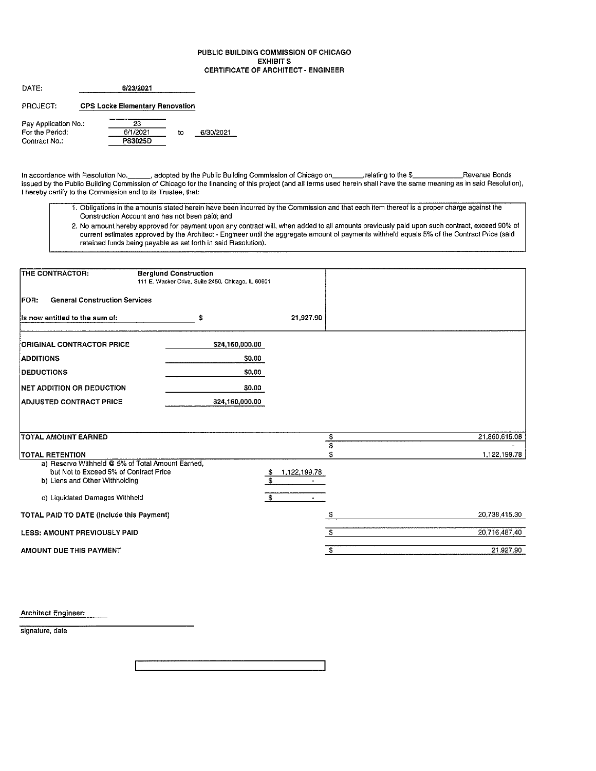### PUBLIC BUILDING COMMISSION OF CHICAGO **EXHIBIT S CERTIFICATE OF ARCHITECT - ENGINEER**

| DATE:                | 6/23/2021                              |    |           |
|----------------------|----------------------------------------|----|-----------|
| PROJECT:             | <b>CPS Locke Elementary Renovation</b> |    |           |
| Pay Application No.: | 23                                     |    |           |
| For the Period:      | 6/1/2021                               | to | 6/30/2021 |
| Contract No.:        | <b>PS3025D</b>                         |    |           |

- 1. Obligations in the amounts stated herein have been incurred by the Commission and that each item thereof is a proper charge against the Construction Account and has not been paid; and
- 2. No amount hereby approved for payment upon any contract will, when added to all amounts previously paid upon such contract, exceed 90% of current estimates approved by the Architect - Engineer until the aggregate amount of payments withheld equals 5% of the Contract Price (said retained funds being payable as set forth in said Resolution).

| THE CONTRACTOR:                                                                            | <b>Berglund Construction</b><br>111 E. Wacker Drive, Suite 2450, Chicago, IL 60601 |                              |    |               |
|--------------------------------------------------------------------------------------------|------------------------------------------------------------------------------------|------------------------------|----|---------------|
| <b>General Construction Services</b><br><b>FOR:</b>                                        |                                                                                    |                              |    |               |
| Is now entitled to the sum of:                                                             | s                                                                                  | 21,927.90                    |    |               |
| <b>ORIGINAL CONTRACTOR PRICE</b>                                                           | \$24,160,000.00                                                                    |                              |    |               |
| <b>ADDITIONS</b>                                                                           | \$0.00                                                                             |                              |    |               |
| <b>DEDUCTIONS</b>                                                                          | \$0.00                                                                             |                              |    |               |
| NET ADDITION OR DEDUCTION                                                                  | \$0.00                                                                             |                              |    |               |
| <b>ADJUSTED CONTRACT PRICE</b>                                                             | \$24,160,000.00                                                                    |                              |    |               |
|                                                                                            |                                                                                    |                              |    |               |
| TOTAL AMOUNT EARNED                                                                        |                                                                                    |                              | \$ | 21,860,615.08 |
|                                                                                            |                                                                                    |                              | Ŧ  |               |
| <b>TOTAL RETENTION</b>                                                                     |                                                                                    |                              | \$ | 1,122,199.78  |
| a) Reserve Withheld @ 5% of Total Amount Earned,<br>but Not to Exceed 5% of Contract Price |                                                                                    | 1,122,199.78<br>$\mathbf{f}$ |    |               |
| b) Liens and Other Withholding                                                             |                                                                                    | \$                           |    |               |
| c) Liquidated Damages Withheld                                                             |                                                                                    | $\mathbf{f}$                 |    |               |
| TOTAL PAID TO DATE (Include this Payment)                                                  |                                                                                    |                              | S  | 20,738,415.30 |
| <b>LESS: AMOUNT PREVIOUSLY PAID</b>                                                        |                                                                                    |                              | \$ | 20,716 487.40 |
| AMOUNT DUE THIS PAYMENT                                                                    |                                                                                    |                              | \$ | 21 927.90     |

Architect Engineer:

signature, date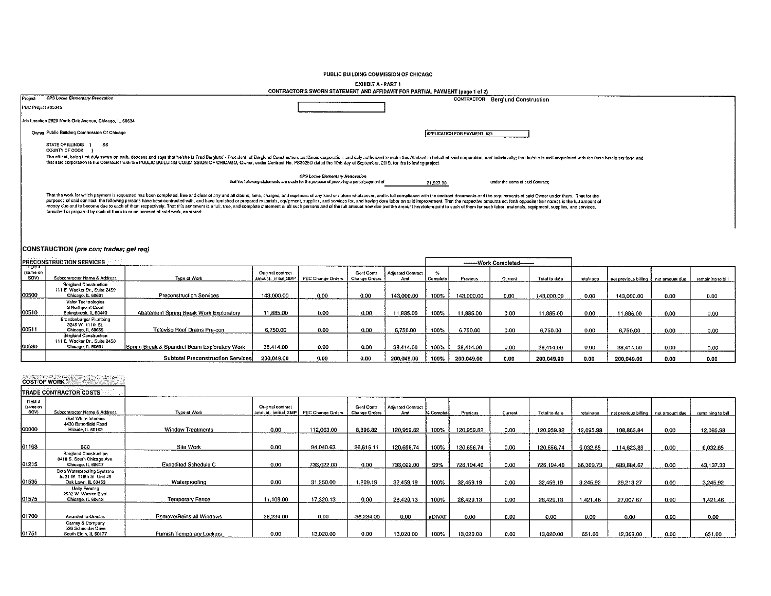## PUBLIC BUILDING COMMISSION OF CHICAGO

EXHIBIT A - PART 1<br>CONTRACTOR'S SWORN STATEMENT AND AFFIDAVIT FOR PARTIAL PAYMENT (page 1 of 2)

| <b>CPS Locke Elementary Revovation</b><br>Project<br><b>CONTRACTOR Berglund Construction</b><br>PBC Project #05345<br>Job Location 2828 North Oak Avenue, Chicago, IL 60634<br>Owner Public Building Commission Of Chicago<br>APPLICATION FOR PAYMENT #23<br>STATE OF ILLINOIS 1<br>SS <sub></sub><br>COUNTY OF COOK<br>The affiant, being first duly sworn on oath, deposes and says that he/she is Fred Berglund - President, of Berglund Construction, ant llinois corporation, and duly authorized to make this Affidavit in behall of said corpor<br>that said corporation is the Contractor with the PUBLIC BUILDING COMMISSION OF CHICAGO, Owner, under Contract No. PS3025D dated the 10th day of September, 2019, for the following project:<br>CPS Locke Elementary Renovation<br>that the following statements are made for the purpose of procuring a partial payment of<br>under the terms of said Contract;<br>21,927.90<br>That the work for which payment is requested has been completed, free and clear of any and all claims, liens, charges, and expenses of any kind or nature whatsoever, and in full compliance with the contract documents and t<br>purposes of said contract, the following persons have been contracted with, and have furnished or prepared materials, equipment, supplies, and services for, and having done labor on said improvement. That the respective am<br>money due and to become due to each of them respectively. That this statement is a full, true, and complete statement of all such persons and of the full amount now due and the amount heretofore paid to each of them for su<br>furnished or prepared by each of them to or on account of said work, as stated.<br>CONSTRUCTION (pre con; trades; gel reg)<br>PRECONSTRUCTION SERVICES<br>--------Work Completed--<br>"स स्टब्स ब<br>(same on<br>$\mathcal{D}_{\alpha}$<br>Original contract<br>Gent Contr<br><b>Adjusted Contract</b><br>SOV)<br>Subcontractor Name & Address<br>Type of Work<br>PBC Change Orders<br>amount: Initial GMP<br>Change Orders<br>Aml<br>Complete<br>Previous<br>Total to date<br>Current<br>retainane<br>net provious billing<br>net amount due<br>remaining to bill<br><b>Berglund Construction</b><br>111 E. Wacker Dr., Suite 2450<br>100500<br>Chicago, IL 60601<br><b>Preconstruction Services</b><br>143,000.00<br>0.00<br>0.00<br>143,000.00<br>100%<br>143,000.00<br>0.00<br>143,000.00<br>0.00<br>143,000,00<br>0.00<br>0.00<br>Valor Technologies<br>3 Northpoint Court<br>00510<br>Abatement Spring Break Work Exploratory<br>11.885.00<br>0.00<br>0.00<br>Bolingbrook, IL 60440<br>11,885.00<br>100%<br>11.885.00<br>0.00<br>11.885.00<br>0.00<br>11,885.00<br>0.00<br>0.00<br>Brandenburger Plumbing<br>3245 W. 111th St.<br>00511<br>Chicago, IL 60655<br>Televise Roof Drains Pre-con<br>6,750.00<br>0.00<br>0.00<br>6,750.00<br>6,750.00<br>100%<br>0.00<br>6,750.00<br>0.00<br>6 750,00<br>0,00<br>$0.00 -$<br><b>Berglund Construction</b><br>111 E. Wacker Dr., Suite 2450<br>00530<br>Chicago, IL 60601<br>Spring Break & Spandrel Beam Exploratory Work<br>38.414.00<br>0.00<br>0.00<br>38,414.00<br>100%<br>38.414.00<br>0.00<br>38,414.00<br>0.00<br>38,414.00<br>0.00<br>0.00<br><b>Subtotal Preconstruction Services</b><br>200,049.00<br>0.00<br>0.00<br>200,049.00<br>100%<br>200,049.00<br>200,049.00<br>0.00<br>0.00<br>200,049.00<br>0.00<br>0.00<br><b>COST OF WORK</b><br>TRADE CONTRACTOR COSTS<br>ITEM #<br>(same on<br>Original contract<br>Genl Contr<br>Adjusted Contract<br>SO <sub>1</sub><br>Subcontractor Name & Address<br>amount: initial GMP<br>PBC Change Orders<br>Type of Work<br><b>Change Orders</b><br>Amt<br>. Complet<br>Previous<br>Current<br>Total to date<br>retainana<br>net previous billing<br>net amount due<br>remaining to bill |
|---------------------------------------------------------------------------------------------------------------------------------------------------------------------------------------------------------------------------------------------------------------------------------------------------------------------------------------------------------------------------------------------------------------------------------------------------------------------------------------------------------------------------------------------------------------------------------------------------------------------------------------------------------------------------------------------------------------------------------------------------------------------------------------------------------------------------------------------------------------------------------------------------------------------------------------------------------------------------------------------------------------------------------------------------------------------------------------------------------------------------------------------------------------------------------------------------------------------------------------------------------------------------------------------------------------------------------------------------------------------------------------------------------------------------------------------------------------------------------------------------------------------------------------------------------------------------------------------------------------------------------------------------------------------------------------------------------------------------------------------------------------------------------------------------------------------------------------------------------------------------------------------------------------------------------------------------------------------------------------------------------------------------------------------------------------------------------------------------------------------------------------------------------------------------------------------------------------------------------------------------------------------------------------------------------------------------------------------------------------------------------------------------------------------------------------------------------------------------------------------------------------------------------------------------------------------------------------------------------------------------------------------------------------------------------------------------------------------------------------------------------------------------------------------------------------------------------------------------------------------------------------------------------------------------------------------------------------------------------------------------------------------------------------------------------------------------------------------------------------------------------------------------------------------------------------------------------------------------------------------------------------------------------------------------------------------------------------------------------------------------------------------------------------------------------------------------------------------------------------------------------------------------------------------------------------------------------------------------------------------------------------------------------------------------------------------------------------------------------------------------------------------------------------------------------------------------------------------|
|                                                                                                                                                                                                                                                                                                                                                                                                                                                                                                                                                                                                                                                                                                                                                                                                                                                                                                                                                                                                                                                                                                                                                                                                                                                                                                                                                                                                                                                                                                                                                                                                                                                                                                                                                                                                                                                                                                                                                                                                                                                                                                                                                                                                                                                                                                                                                                                                                                                                                                                                                                                                                                                                                                                                                                                                                                                                                                                                                                                                                                                                                                                                                                                                                                                                                                                                                                                                                                                                                                                                                                                                                                                                                                                                                                                                                                             |
|                                                                                                                                                                                                                                                                                                                                                                                                                                                                                                                                                                                                                                                                                                                                                                                                                                                                                                                                                                                                                                                                                                                                                                                                                                                                                                                                                                                                                                                                                                                                                                                                                                                                                                                                                                                                                                                                                                                                                                                                                                                                                                                                                                                                                                                                                                                                                                                                                                                                                                                                                                                                                                                                                                                                                                                                                                                                                                                                                                                                                                                                                                                                                                                                                                                                                                                                                                                                                                                                                                                                                                                                                                                                                                                                                                                                                                             |
|                                                                                                                                                                                                                                                                                                                                                                                                                                                                                                                                                                                                                                                                                                                                                                                                                                                                                                                                                                                                                                                                                                                                                                                                                                                                                                                                                                                                                                                                                                                                                                                                                                                                                                                                                                                                                                                                                                                                                                                                                                                                                                                                                                                                                                                                                                                                                                                                                                                                                                                                                                                                                                                                                                                                                                                                                                                                                                                                                                                                                                                                                                                                                                                                                                                                                                                                                                                                                                                                                                                                                                                                                                                                                                                                                                                                                                             |
|                                                                                                                                                                                                                                                                                                                                                                                                                                                                                                                                                                                                                                                                                                                                                                                                                                                                                                                                                                                                                                                                                                                                                                                                                                                                                                                                                                                                                                                                                                                                                                                                                                                                                                                                                                                                                                                                                                                                                                                                                                                                                                                                                                                                                                                                                                                                                                                                                                                                                                                                                                                                                                                                                                                                                                                                                                                                                                                                                                                                                                                                                                                                                                                                                                                                                                                                                                                                                                                                                                                                                                                                                                                                                                                                                                                                                                             |
|                                                                                                                                                                                                                                                                                                                                                                                                                                                                                                                                                                                                                                                                                                                                                                                                                                                                                                                                                                                                                                                                                                                                                                                                                                                                                                                                                                                                                                                                                                                                                                                                                                                                                                                                                                                                                                                                                                                                                                                                                                                                                                                                                                                                                                                                                                                                                                                                                                                                                                                                                                                                                                                                                                                                                                                                                                                                                                                                                                                                                                                                                                                                                                                                                                                                                                                                                                                                                                                                                                                                                                                                                                                                                                                                                                                                                                             |
|                                                                                                                                                                                                                                                                                                                                                                                                                                                                                                                                                                                                                                                                                                                                                                                                                                                                                                                                                                                                                                                                                                                                                                                                                                                                                                                                                                                                                                                                                                                                                                                                                                                                                                                                                                                                                                                                                                                                                                                                                                                                                                                                                                                                                                                                                                                                                                                                                                                                                                                                                                                                                                                                                                                                                                                                                                                                                                                                                                                                                                                                                                                                                                                                                                                                                                                                                                                                                                                                                                                                                                                                                                                                                                                                                                                                                                             |
|                                                                                                                                                                                                                                                                                                                                                                                                                                                                                                                                                                                                                                                                                                                                                                                                                                                                                                                                                                                                                                                                                                                                                                                                                                                                                                                                                                                                                                                                                                                                                                                                                                                                                                                                                                                                                                                                                                                                                                                                                                                                                                                                                                                                                                                                                                                                                                                                                                                                                                                                                                                                                                                                                                                                                                                                                                                                                                                                                                                                                                                                                                                                                                                                                                                                                                                                                                                                                                                                                                                                                                                                                                                                                                                                                                                                                                             |
|                                                                                                                                                                                                                                                                                                                                                                                                                                                                                                                                                                                                                                                                                                                                                                                                                                                                                                                                                                                                                                                                                                                                                                                                                                                                                                                                                                                                                                                                                                                                                                                                                                                                                                                                                                                                                                                                                                                                                                                                                                                                                                                                                                                                                                                                                                                                                                                                                                                                                                                                                                                                                                                                                                                                                                                                                                                                                                                                                                                                                                                                                                                                                                                                                                                                                                                                                                                                                                                                                                                                                                                                                                                                                                                                                                                                                                             |
|                                                                                                                                                                                                                                                                                                                                                                                                                                                                                                                                                                                                                                                                                                                                                                                                                                                                                                                                                                                                                                                                                                                                                                                                                                                                                                                                                                                                                                                                                                                                                                                                                                                                                                                                                                                                                                                                                                                                                                                                                                                                                                                                                                                                                                                                                                                                                                                                                                                                                                                                                                                                                                                                                                                                                                                                                                                                                                                                                                                                                                                                                                                                                                                                                                                                                                                                                                                                                                                                                                                                                                                                                                                                                                                                                                                                                                             |
|                                                                                                                                                                                                                                                                                                                                                                                                                                                                                                                                                                                                                                                                                                                                                                                                                                                                                                                                                                                                                                                                                                                                                                                                                                                                                                                                                                                                                                                                                                                                                                                                                                                                                                                                                                                                                                                                                                                                                                                                                                                                                                                                                                                                                                                                                                                                                                                                                                                                                                                                                                                                                                                                                                                                                                                                                                                                                                                                                                                                                                                                                                                                                                                                                                                                                                                                                                                                                                                                                                                                                                                                                                                                                                                                                                                                                                             |
|                                                                                                                                                                                                                                                                                                                                                                                                                                                                                                                                                                                                                                                                                                                                                                                                                                                                                                                                                                                                                                                                                                                                                                                                                                                                                                                                                                                                                                                                                                                                                                                                                                                                                                                                                                                                                                                                                                                                                                                                                                                                                                                                                                                                                                                                                                                                                                                                                                                                                                                                                                                                                                                                                                                                                                                                                                                                                                                                                                                                                                                                                                                                                                                                                                                                                                                                                                                                                                                                                                                                                                                                                                                                                                                                                                                                                                             |
|                                                                                                                                                                                                                                                                                                                                                                                                                                                                                                                                                                                                                                                                                                                                                                                                                                                                                                                                                                                                                                                                                                                                                                                                                                                                                                                                                                                                                                                                                                                                                                                                                                                                                                                                                                                                                                                                                                                                                                                                                                                                                                                                                                                                                                                                                                                                                                                                                                                                                                                                                                                                                                                                                                                                                                                                                                                                                                                                                                                                                                                                                                                                                                                                                                                                                                                                                                                                                                                                                                                                                                                                                                                                                                                                                                                                                                             |
|                                                                                                                                                                                                                                                                                                                                                                                                                                                                                                                                                                                                                                                                                                                                                                                                                                                                                                                                                                                                                                                                                                                                                                                                                                                                                                                                                                                                                                                                                                                                                                                                                                                                                                                                                                                                                                                                                                                                                                                                                                                                                                                                                                                                                                                                                                                                                                                                                                                                                                                                                                                                                                                                                                                                                                                                                                                                                                                                                                                                                                                                                                                                                                                                                                                                                                                                                                                                                                                                                                                                                                                                                                                                                                                                                                                                                                             |
|                                                                                                                                                                                                                                                                                                                                                                                                                                                                                                                                                                                                                                                                                                                                                                                                                                                                                                                                                                                                                                                                                                                                                                                                                                                                                                                                                                                                                                                                                                                                                                                                                                                                                                                                                                                                                                                                                                                                                                                                                                                                                                                                                                                                                                                                                                                                                                                                                                                                                                                                                                                                                                                                                                                                                                                                                                                                                                                                                                                                                                                                                                                                                                                                                                                                                                                                                                                                                                                                                                                                                                                                                                                                                                                                                                                                                                             |
|                                                                                                                                                                                                                                                                                                                                                                                                                                                                                                                                                                                                                                                                                                                                                                                                                                                                                                                                                                                                                                                                                                                                                                                                                                                                                                                                                                                                                                                                                                                                                                                                                                                                                                                                                                                                                                                                                                                                                                                                                                                                                                                                                                                                                                                                                                                                                                                                                                                                                                                                                                                                                                                                                                                                                                                                                                                                                                                                                                                                                                                                                                                                                                                                                                                                                                                                                                                                                                                                                                                                                                                                                                                                                                                                                                                                                                             |
|                                                                                                                                                                                                                                                                                                                                                                                                                                                                                                                                                                                                                                                                                                                                                                                                                                                                                                                                                                                                                                                                                                                                                                                                                                                                                                                                                                                                                                                                                                                                                                                                                                                                                                                                                                                                                                                                                                                                                                                                                                                                                                                                                                                                                                                                                                                                                                                                                                                                                                                                                                                                                                                                                                                                                                                                                                                                                                                                                                                                                                                                                                                                                                                                                                                                                                                                                                                                                                                                                                                                                                                                                                                                                                                                                                                                                                             |
|                                                                                                                                                                                                                                                                                                                                                                                                                                                                                                                                                                                                                                                                                                                                                                                                                                                                                                                                                                                                                                                                                                                                                                                                                                                                                                                                                                                                                                                                                                                                                                                                                                                                                                                                                                                                                                                                                                                                                                                                                                                                                                                                                                                                                                                                                                                                                                                                                                                                                                                                                                                                                                                                                                                                                                                                                                                                                                                                                                                                                                                                                                                                                                                                                                                                                                                                                                                                                                                                                                                                                                                                                                                                                                                                                                                                                                             |
|                                                                                                                                                                                                                                                                                                                                                                                                                                                                                                                                                                                                                                                                                                                                                                                                                                                                                                                                                                                                                                                                                                                                                                                                                                                                                                                                                                                                                                                                                                                                                                                                                                                                                                                                                                                                                                                                                                                                                                                                                                                                                                                                                                                                                                                                                                                                                                                                                                                                                                                                                                                                                                                                                                                                                                                                                                                                                                                                                                                                                                                                                                                                                                                                                                                                                                                                                                                                                                                                                                                                                                                                                                                                                                                                                                                                                                             |
|                                                                                                                                                                                                                                                                                                                                                                                                                                                                                                                                                                                                                                                                                                                                                                                                                                                                                                                                                                                                                                                                                                                                                                                                                                                                                                                                                                                                                                                                                                                                                                                                                                                                                                                                                                                                                                                                                                                                                                                                                                                                                                                                                                                                                                                                                                                                                                                                                                                                                                                                                                                                                                                                                                                                                                                                                                                                                                                                                                                                                                                                                                                                                                                                                                                                                                                                                                                                                                                                                                                                                                                                                                                                                                                                                                                                                                             |
|                                                                                                                                                                                                                                                                                                                                                                                                                                                                                                                                                                                                                                                                                                                                                                                                                                                                                                                                                                                                                                                                                                                                                                                                                                                                                                                                                                                                                                                                                                                                                                                                                                                                                                                                                                                                                                                                                                                                                                                                                                                                                                                                                                                                                                                                                                                                                                                                                                                                                                                                                                                                                                                                                                                                                                                                                                                                                                                                                                                                                                                                                                                                                                                                                                                                                                                                                                                                                                                                                                                                                                                                                                                                                                                                                                                                                                             |
|                                                                                                                                                                                                                                                                                                                                                                                                                                                                                                                                                                                                                                                                                                                                                                                                                                                                                                                                                                                                                                                                                                                                                                                                                                                                                                                                                                                                                                                                                                                                                                                                                                                                                                                                                                                                                                                                                                                                                                                                                                                                                                                                                                                                                                                                                                                                                                                                                                                                                                                                                                                                                                                                                                                                                                                                                                                                                                                                                                                                                                                                                                                                                                                                                                                                                                                                                                                                                                                                                                                                                                                                                                                                                                                                                                                                                                             |
|                                                                                                                                                                                                                                                                                                                                                                                                                                                                                                                                                                                                                                                                                                                                                                                                                                                                                                                                                                                                                                                                                                                                                                                                                                                                                                                                                                                                                                                                                                                                                                                                                                                                                                                                                                                                                                                                                                                                                                                                                                                                                                                                                                                                                                                                                                                                                                                                                                                                                                                                                                                                                                                                                                                                                                                                                                                                                                                                                                                                                                                                                                                                                                                                                                                                                                                                                                                                                                                                                                                                                                                                                                                                                                                                                                                                                                             |
|                                                                                                                                                                                                                                                                                                                                                                                                                                                                                                                                                                                                                                                                                                                                                                                                                                                                                                                                                                                                                                                                                                                                                                                                                                                                                                                                                                                                                                                                                                                                                                                                                                                                                                                                                                                                                                                                                                                                                                                                                                                                                                                                                                                                                                                                                                                                                                                                                                                                                                                                                                                                                                                                                                                                                                                                                                                                                                                                                                                                                                                                                                                                                                                                                                                                                                                                                                                                                                                                                                                                                                                                                                                                                                                                                                                                                                             |
|                                                                                                                                                                                                                                                                                                                                                                                                                                                                                                                                                                                                                                                                                                                                                                                                                                                                                                                                                                                                                                                                                                                                                                                                                                                                                                                                                                                                                                                                                                                                                                                                                                                                                                                                                                                                                                                                                                                                                                                                                                                                                                                                                                                                                                                                                                                                                                                                                                                                                                                                                                                                                                                                                                                                                                                                                                                                                                                                                                                                                                                                                                                                                                                                                                                                                                                                                                                                                                                                                                                                                                                                                                                                                                                                                                                                                                             |
|                                                                                                                                                                                                                                                                                                                                                                                                                                                                                                                                                                                                                                                                                                                                                                                                                                                                                                                                                                                                                                                                                                                                                                                                                                                                                                                                                                                                                                                                                                                                                                                                                                                                                                                                                                                                                                                                                                                                                                                                                                                                                                                                                                                                                                                                                                                                                                                                                                                                                                                                                                                                                                                                                                                                                                                                                                                                                                                                                                                                                                                                                                                                                                                                                                                                                                                                                                                                                                                                                                                                                                                                                                                                                                                                                                                                                                             |
|                                                                                                                                                                                                                                                                                                                                                                                                                                                                                                                                                                                                                                                                                                                                                                                                                                                                                                                                                                                                                                                                                                                                                                                                                                                                                                                                                                                                                                                                                                                                                                                                                                                                                                                                                                                                                                                                                                                                                                                                                                                                                                                                                                                                                                                                                                                                                                                                                                                                                                                                                                                                                                                                                                                                                                                                                                                                                                                                                                                                                                                                                                                                                                                                                                                                                                                                                                                                                                                                                                                                                                                                                                                                                                                                                                                                                                             |
| Gail White Interiors                                                                                                                                                                                                                                                                                                                                                                                                                                                                                                                                                                                                                                                                                                                                                                                                                                                                                                                                                                                                                                                                                                                                                                                                                                                                                                                                                                                                                                                                                                                                                                                                                                                                                                                                                                                                                                                                                                                                                                                                                                                                                                                                                                                                                                                                                                                                                                                                                                                                                                                                                                                                                                                                                                                                                                                                                                                                                                                                                                                                                                                                                                                                                                                                                                                                                                                                                                                                                                                                                                                                                                                                                                                                                                                                                                                                                        |
| 4430 Butterlield Road<br>100000<br>Hillside, IL 60162<br><b>Window Treatments</b><br>0.00<br>112,063,00<br>8,896.82<br>120,959.82<br>100%<br>120.959.82<br>0.00<br>120,959.82<br>12,095.98<br>108,863,84<br>0.00 <sub>1</sub><br>12,095.98                                                                                                                                                                                                                                                                                                                                                                                                                                                                                                                                                                                                                                                                                                                                                                                                                                                                                                                                                                                                                                                                                                                                                                                                                                                                                                                                                                                                                                                                                                                                                                                                                                                                                                                                                                                                                                                                                                                                                                                                                                                                                                                                                                                                                                                                                                                                                                                                                                                                                                                                                                                                                                                                                                                                                                                                                                                                                                                                                                                                                                                                                                                                                                                                                                                                                                                                                                                                                                                                                                                                                                                                  |
|                                                                                                                                                                                                                                                                                                                                                                                                                                                                                                                                                                                                                                                                                                                                                                                                                                                                                                                                                                                                                                                                                                                                                                                                                                                                                                                                                                                                                                                                                                                                                                                                                                                                                                                                                                                                                                                                                                                                                                                                                                                                                                                                                                                                                                                                                                                                                                                                                                                                                                                                                                                                                                                                                                                                                                                                                                                                                                                                                                                                                                                                                                                                                                                                                                                                                                                                                                                                                                                                                                                                                                                                                                                                                                                                                                                                                                             |
| 01168<br>Site Work<br>0.00<br>94,040.63<br>120.656.74<br><b>BCC</b><br>26,616.11<br>100%<br>120.656.74<br>0.00<br>120.656.74<br>6.032.85<br>114.623.89<br>$0.00 -$<br>6,032.85                                                                                                                                                                                                                                                                                                                                                                                                                                                                                                                                                                                                                                                                                                                                                                                                                                                                                                                                                                                                                                                                                                                                                                                                                                                                                                                                                                                                                                                                                                                                                                                                                                                                                                                                                                                                                                                                                                                                                                                                                                                                                                                                                                                                                                                                                                                                                                                                                                                                                                                                                                                                                                                                                                                                                                                                                                                                                                                                                                                                                                                                                                                                                                                                                                                                                                                                                                                                                                                                                                                                                                                                                                                              |
| Berglund Construction<br>8410 S. South Chicago Ave.<br>01215<br>Chicago, IL 60637<br><b>Expedited Schedule C</b><br>0.00<br>0.00<br>733,022.00<br>733,022,00<br>99%<br>726,194.40<br>0.00                                                                                                                                                                                                                                                                                                                                                                                                                                                                                                                                                                                                                                                                                                                                                                                                                                                                                                                                                                                                                                                                                                                                                                                                                                                                                                                                                                                                                                                                                                                                                                                                                                                                                                                                                                                                                                                                                                                                                                                                                                                                                                                                                                                                                                                                                                                                                                                                                                                                                                                                                                                                                                                                                                                                                                                                                                                                                                                                                                                                                                                                                                                                                                                                                                                                                                                                                                                                                                                                                                                                                                                                                                                   |
| 726,194.40<br>36,309.73<br>689,884.67<br>0.00<br>43,137.33<br><b>Bolo Waterprooling Systems</b>                                                                                                                                                                                                                                                                                                                                                                                                                                                                                                                                                                                                                                                                                                                                                                                                                                                                                                                                                                                                                                                                                                                                                                                                                                                                                                                                                                                                                                                                                                                                                                                                                                                                                                                                                                                                                                                                                                                                                                                                                                                                                                                                                                                                                                                                                                                                                                                                                                                                                                                                                                                                                                                                                                                                                                                                                                                                                                                                                                                                                                                                                                                                                                                                                                                                                                                                                                                                                                                                                                                                                                                                                                                                                                                                             |
| 5521 W. 110th St. Unit #9<br>01535<br>Oak Lawn, IL 60453<br>0.00<br>31,250.00<br>1.209.19<br>Waterproofing<br>32,459.19<br>100%<br>32,459.19<br>0.00<br>32,459.19<br>3.245.92<br>29,213.27<br>0.00<br>3,245.92                                                                                                                                                                                                                                                                                                                                                                                                                                                                                                                                                                                                                                                                                                                                                                                                                                                                                                                                                                                                                                                                                                                                                                                                                                                                                                                                                                                                                                                                                                                                                                                                                                                                                                                                                                                                                                                                                                                                                                                                                                                                                                                                                                                                                                                                                                                                                                                                                                                                                                                                                                                                                                                                                                                                                                                                                                                                                                                                                                                                                                                                                                                                                                                                                                                                                                                                                                                                                                                                                                                                                                                                                              |
| Unity Fencing<br>2532 W. Warren Blvd.                                                                                                                                                                                                                                                                                                                                                                                                                                                                                                                                                                                                                                                                                                                                                                                                                                                                                                                                                                                                                                                                                                                                                                                                                                                                                                                                                                                                                                                                                                                                                                                                                                                                                                                                                                                                                                                                                                                                                                                                                                                                                                                                                                                                                                                                                                                                                                                                                                                                                                                                                                                                                                                                                                                                                                                                                                                                                                                                                                                                                                                                                                                                                                                                                                                                                                                                                                                                                                                                                                                                                                                                                                                                                                                                                                                                       |
|                                                                                                                                                                                                                                                                                                                                                                                                                                                                                                                                                                                                                                                                                                                                                                                                                                                                                                                                                                                                                                                                                                                                                                                                                                                                                                                                                                                                                                                                                                                                                                                                                                                                                                                                                                                                                                                                                                                                                                                                                                                                                                                                                                                                                                                                                                                                                                                                                                                                                                                                                                                                                                                                                                                                                                                                                                                                                                                                                                                                                                                                                                                                                                                                                                                                                                                                                                                                                                                                                                                                                                                                                                                                                                                                                                                                                                             |
| 01575<br>Chicago, IL 60612<br>Temporary Fence<br>11,109.00<br>17,320.13<br>0.00<br>28,429.13<br>28,429.13<br>100%<br>28.429.13<br>0.00<br>1.421.46<br>27,007.67<br>0.00<br>1,421.46                                                                                                                                                                                                                                                                                                                                                                                                                                                                                                                                                                                                                                                                                                                                                                                                                                                                                                                                                                                                                                                                                                                                                                                                                                                                                                                                                                                                                                                                                                                                                                                                                                                                                                                                                                                                                                                                                                                                                                                                                                                                                                                                                                                                                                                                                                                                                                                                                                                                                                                                                                                                                                                                                                                                                                                                                                                                                                                                                                                                                                                                                                                                                                                                                                                                                                                                                                                                                                                                                                                                                                                                                                                         |
| 01700<br>Remove/Reinstall Windows<br>36,234.00<br>0.00<br>-36,234.00<br>Awarded to Ornelas<br>#DIV/0!<br>0.00<br>0.00<br>0.00                                                                                                                                                                                                                                                                                                                                                                                                                                                                                                                                                                                                                                                                                                                                                                                                                                                                                                                                                                                                                                                                                                                                                                                                                                                                                                                                                                                                                                                                                                                                                                                                                                                                                                                                                                                                                                                                                                                                                                                                                                                                                                                                                                                                                                                                                                                                                                                                                                                                                                                                                                                                                                                                                                                                                                                                                                                                                                                                                                                                                                                                                                                                                                                                                                                                                                                                                                                                                                                                                                                                                                                                                                                                                                               |
| 0.00<br>0.00<br>0.00<br>0.00<br>0.00<br>Carney & Company<br>636 Schneider Drive                                                                                                                                                                                                                                                                                                                                                                                                                                                                                                                                                                                                                                                                                                                                                                                                                                                                                                                                                                                                                                                                                                                                                                                                                                                                                                                                                                                                                                                                                                                                                                                                                                                                                                                                                                                                                                                                                                                                                                                                                                                                                                                                                                                                                                                                                                                                                                                                                                                                                                                                                                                                                                                                                                                                                                                                                                                                                                                                                                                                                                                                                                                                                                                                                                                                                                                                                                                                                                                                                                                                                                                                                                                                                                                                                             |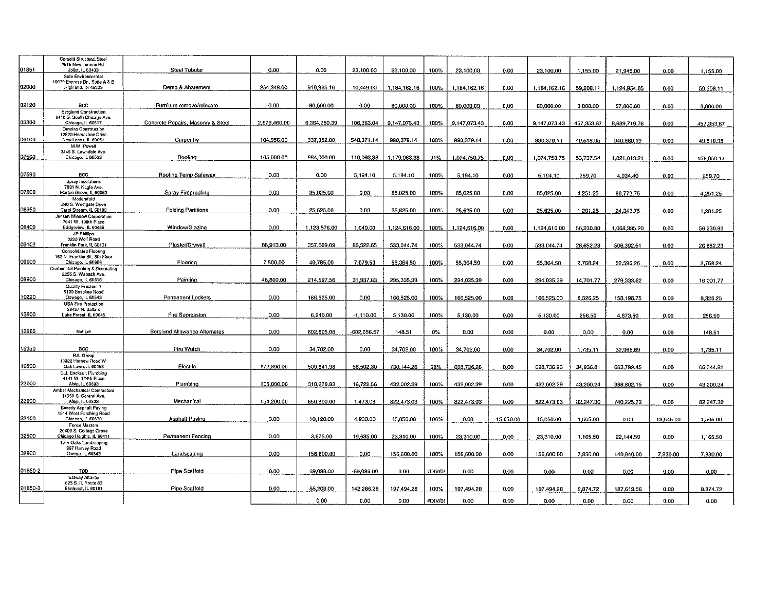|         | Corsetti Structural Steel                                      |                                   |              |              |              |              |         |              |           |              |            |              |           |            |
|---------|----------------------------------------------------------------|-----------------------------------|--------------|--------------|--------------|--------------|---------|--------------|-----------|--------------|------------|--------------|-----------|------------|
|         | 2515 New Lonnox Rd.                                            |                                   |              |              |              |              |         |              |           |              |            |              |           |            |
| 01851   | Joliet, IL 60433                                               | Steel Tubular                     | $0.00 -$     | 0.00         | 23 100.00    | 23.100.00    | 100%    | 23 100.00    | 0.00      | 23.100.00    | 1.155.00   | 21.945.00    | 0.00      | 1.155.00   |
|         | Safe Environmental                                             |                                   |              |              |              |              |         |              |           |              |            |              |           |            |
|         | 10030 Express Dr., Suite A & B                                 |                                   |              |              |              |              |         |              |           |              |            |              |           |            |
| 02000   | Highland, IN 46323                                             | Demo & Abatement                  | 254.348.00   | 919.365.16   | 10.449.00    | 1,184,162.16 | 100%    | 1.184.162.16 | 0.00      | 1.184.162.16 | 59.208.11  | 1.124.954.05 | 0.00      | 59,208.11  |
|         |                                                                |                                   |              |              |              |              |         |              |           |              |            |              |           |            |
| 02120   |                                                                |                                   |              |              |              |              |         |              |           |              |            |              |           |            |
|         | <b>BCC</b><br><b>Beralund Construction</b>                     | Furniture remove/refocate         | 0.00         | 60.000.00    | 0.00         | 60.000.00    | 100%    | 60,000.00    | 0.00      | 60,000.00    | 3,000.00   | 57,000.00    | 0.00      | 3,000.00   |
|         | 8410 S. South Chicago Ave.                                     |                                   |              |              |              |              |         |              |           |              |            |              |           |            |
| 03300   | Chicago, IL 60617                                              | Concrete Repairs, Masonry & Steel | 2.676.460.00 | 6,364,250.39 | 106.363.04   | 9,147,073.43 | 100%    | 9,147,073.43 | 0.00      | 9.147.073.43 | 457.353.67 | 8,689,719.76 | 0.00      | 457.353.67 |
|         | <b>Ornelas Construction</b>                                    |                                   |              |              |              |              |         |              |           |              |            |              |           |            |
|         | 12520 Horseshoe Drive                                          |                                   |              |              |              |              |         |              |           |              |            |              |           |            |
| 06100   | New Lenox, IL 60651                                            | Carpentry                         | 104.956.00   | 337.052.00   | 548.371.14   | 990.379.14   | 100%    | 990 379.14   | 0.00      | 990.379.14   | 49.518.95  | 940.860.19   | 0.00      | 49.518.95  |
|         | M.W. Powell<br>3445 S. Lawndale Ave.                           |                                   |              |              |              |              |         |              |           |              |            |              |           |            |
| 07500   | Chicago, IL 60623                                              | Roofina                           | 105,000.00   | 964.000.00   | 110,063.38   | 1,179.063.38 | 91%     | 1,074,750.75 | 0.00      | 1.074,750,75 | 53.737.54  |              |           |            |
|         |                                                                |                                   |              |              |              |              |         |              |           |              |            | 1.021.013.21 | 0.00      | 158.050.17 |
|         |                                                                |                                   |              |              |              |              |         |              |           |              |            |              |           |            |
| 07590   | $_{\rm acc}$                                                   | Roofing Temp Safeway              | 0,00         | 0.00         | 5.194.10     | 5.194.10     | 100%    | 5,194.10     | 0.00      | 5,194.10     | 259.70     | 4,934.40     | 0.00      | 259,70     |
|         | Soray Insulations                                              |                                   |              |              |              |              |         |              |           |              |            |              |           |            |
|         | 7831 N. Nagle Ave.                                             |                                   |              |              |              |              |         |              |           |              |            |              |           |            |
| 07800   | Morton Grove, IL 60053                                         | Spray Fireproofing                | 0.00         | 85 025.00    | 0.00         | 85.025.00    | 100%    | 85.025.00    | 0.00      | 85,025.00    | 4,251.25   | 80 773.75    | 0.00      | 4,251.25   |
|         | Modernfold                                                     |                                   |              |              |              |              |         |              |           |              |            |              |           |            |
| 08350   | 240 S. Westgate Drive<br>Carol Stream, IL 60188                | <b>Folding Partitions</b>         | $0.00 -$     | 25.625.00    | 0.00         | 25.625.00    | 100%    | 25.625.00    | 0.00      | 25.625.00    | 1.281.25   | 24 34 3.75   | 0.00      |            |
|         | Jensen Window Corporation                                      |                                   |              |              |              |              |         |              |           |              |            |              |           | 1.281.25   |
|         | 7641 W. 100th Place                                            |                                   |              |              |              |              |         |              |           |              |            |              |           |            |
| 08400   | Bridgeview, IL 60455                                           | Window/Glazing                    | 0.00         | 1,123,576,00 | 1,040.00     | 1,124,616.00 | 100%    | 1,124,616.00 | 0.00      | 1.124.616.00 | 56,230.80  | 1.068.385.20 | 0.00      | 56.230.80  |
|         | JP Phillips                                                    |                                   |              |              |              |              |         |              |           |              |            |              |           |            |
|         | 3220 Wolf Road                                                 |                                   |              |              |              |              |         |              |           |              |            |              |           |            |
| 09102   | Franklin Park, IL 60131                                        | Plaster/Drywall                   | 88.913.00    | 357,609.09   | 86 522.65    | 533.044.74   | 100%    | 533,044.74   | 0.00      | 533,044.74   | 26,652.23  | 506,392.51   | 0.00      | 26,652.23  |
|         | <b>Consolidated Flooring</b><br>162 N. Franklin St., 5th Floor |                                   |              |              |              |              |         |              |           |              |            |              |           |            |
| 00820   | Chicago, IL 60606                                              | Flooring                          | 7.500.00     | 40 785.00    | 7.079.50     | 55.364.50    | 100%    | 55,364.50    | 0.00      | 55,364.50    | 2.768.24   | 52.596.26    | 0.00      | 2,768.24   |
|         | Continental Painting & Decorating                              |                                   |              |              |              |              |         |              |           |              |            |              |           |            |
|         | 2255 S. Wabash Ave.                                            |                                   |              |              |              |              |         |              |           |              |            |              |           |            |
| 09900   | Chicago, IL 60616                                              | Painting                          | 48,800.00    | 214.597.56   | 31.937.83    | 295.335.39   | 100%    | 294.035.39   | 0.00      | 294,035.39   | 14.701.77  | 279.333.62   | 0.00      | 16.001.77  |
|         | Quality Erectors 1                                             |                                   |              |              |              |              |         |              |           |              |            |              |           |            |
|         | 5100 Baseline Road                                             |                                   |              |              |              |              |         |              |           |              |            |              |           |            |
| 10220   | Oswego, IL 60543                                               | Permanent Lockers                 | 0.00         | 166,525.00   | 0.00         | 166.525.00   | 100%    | 166.525.00   | 0.00      | 166,525.00   | 8.326.25   | 158,198.75   | 0.00      | 8.326.25   |
|         | <b>USA Fire Protection</b><br>28427 N. Ballard                 |                                   |              |              |              |              |         |              |           |              |            |              |           |            |
| 13900   | Lake Forest, IL 60045                                          | Fire Supression                   | 0.00         | 6.240.00     | $-1$ 110.00  | 5,130.00     | 100%    | 5,130.00     | 0.00      | 5,130.00     | 256.50     | 4,873.50     | 0.00      | 256.50     |
|         |                                                                |                                   |              |              |              |              |         |              |           |              |            |              |           |            |
|         |                                                                |                                   |              |              |              |              |         |              |           |              |            |              |           |            |
| 13965   | Notiet                                                         | Berglund Allowance Alternates     | 0.00         | 602.805.08   | 602.656.57   | 148.51       | 0%      | 0.00         | 0.00      | 0.00         | 0.00       | 0.00         | 0.00      | 148.51     |
|         |                                                                |                                   |              |              |              |              |         |              |           |              |            |              |           |            |
| 15350   | BCC.                                                           | Fire Watch                        | $0.00 -$     | 34.702.00    | 0.00         | 34.702.00    |         |              |           |              |            |              |           |            |
|         | <b>RJL Group</b>                                               |                                   |              |              |              |              | 100%    | 34,702.00    | 0.00      | 34 702.00    | 1.735.11   | 32 966.89    | 0.00.     | 1,735,11   |
|         | 10022 Harnew Fload W.                                          |                                   |              |              |              |              |         |              |           |              |            |              |           |            |
| 16500   | Oak Lawn, IL 60453                                             | Electric                          | 172,800.00   | 500.841.96   | 56.502.30    | 730.144.26   | 96%     | 698,736.26   | 0.00      | 698,736.26   | 34,936.81  | 663.799.45   | 0.00      | 66.344.81  |
|         | C.J. Erickson Plumbing                                         |                                   |              |              |              |              |         |              |           |              |            |              |           |            |
|         | 4141 W. 124th Place                                            |                                   |              |              |              |              |         |              |           |              |            |              |           |            |
| 22000   | Alsip, IL 60803                                                | Plumbino                          | 105.000.00   | 310.279.83   | 16,722.56    | 432,002.39   | 100%    | 432,002.39   | 0.00      | 432,002.39   | 43,200.24  | 388,802.15   | 0.00      | 43,200.24  |
|         | Amber Mechanical Contractors                                   |                                   |              |              |              |              |         |              |           |              |            |              |           |            |
| 23000   | 11950 S. Central Ave.<br>Alsip, IL 60803                       | Mechanical                        | 164.200.00   | 656,800.00   | 1.473.03     | 822.473.03   | 100%    | 822,473.03   | 0.00      | 822.473.03   | 82.247.30  | 740.225.73   | 0.00      | 82.247.30  |
|         | Beverly Asphalt Paving                                         |                                   |              |              |              |              |         |              |           |              |            |              |           |            |
|         | 1514 West Pershing Road                                        |                                   |              |              |              |              |         |              |           |              |            |              |           |            |
| 32100   | Chicago, IL 60630                                              | Asphalt Paving                    | 0.00         | 10.120.00    | 4.930.00     | 15.050.00    | 100%    | 0.00         | 15,050.00 | 15.050.00    | 1,505.00   | 0.00         | 13.545.00 | 1,505.00   |
|         | Fence Masters                                                  |                                   |              |              |              |              |         |              |           |              |            |              |           |            |
|         | 20400 S. Coltage Grove                                         |                                   |              |              |              |              |         |              |           |              |            |              |           |            |
| 32500   | Chicago Heights, IL 60411                                      | Permanent Fencing                 | 0.00         | 3,675.00     | 19.635.00    | 23,310.00    | 100%    | 23.310.00    | 0.00.     | 23,310.00    | 1,165.50   | 22.144.50    | 0.00      | 1.165.50   |
|         | Twin Oaks Landscapino<br>997 Harvey Road                       |                                   |              |              |              |              |         |              |           |              |            |              |           |            |
| 32900   | Owego, IL 60543                                                | Landscaping                       | 0.00         | 156.600.00   | 0.00         | 156,600.00   | 100%    | 156 600.00   | 0.00      | 156.600.00   | 7.830.00   | 140.940.00   | 7.830.00  | 7,830.00   |
|         |                                                                |                                   |              |              |              |              |         |              |           |              |            |              |           |            |
|         |                                                                |                                   |              |              |              |              |         |              |           |              |            |              |           |            |
| 01850-2 | TBD.                                                           | Pipe Scaffold                     | 0.00         | 69.089.00    | $-69,089,00$ | 0.00         | #DIV/0! | 0.00         | 0.00      | 0.00         | 0.00       | 0.00         | 0.00      | 0.00       |
|         | Satway Atlantic                                                |                                   |              |              |              |              |         |              |           |              |            |              |           |            |
| 01850-3 | 625 S. IL Route 83<br>Elmhurst, IL 60181                       |                                   |              |              |              |              |         |              |           |              |            |              |           |            |
|         |                                                                | Pipe Scalfold                     | 0.00         | 55.208.00    | 142.286.28   | 197.494.28   | 100%    | 197 494.28   | 0.00      | 197,494.28   | 9,874.72   | 187,619.56   | 0.00      | 9,874.72   |
|         |                                                                |                                   |              | 0.00         | 0.00         | 0.00         | #DIV/0! | 0.00         | 0.00      | 0.00         | 0.00       | 0.00         | 0.00      | 0.00       |
|         |                                                                |                                   |              |              |              |              |         |              |           |              |            |              |           |            |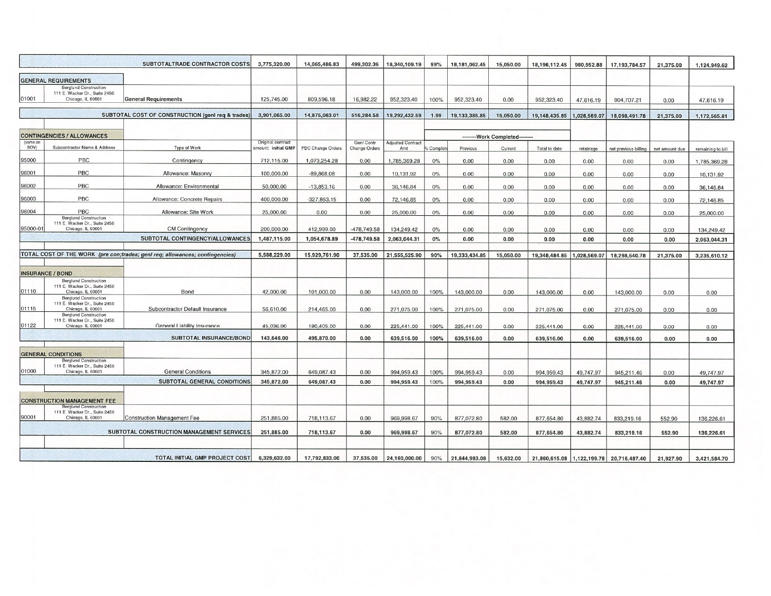|                  |                                                                                                                          | SUBTOTALTRADE CONTRACTOR COSTS                                               | 3,775,320.00                            | 14,065,486.83     | 499,302.36                         | 18,340,109.19                   | 99%      | 18,181,062.45 | 15,050.00                 | 18,196,112.45              | 980,952.88   | 17, 193, 784.57                              | 21,375.00      | 1,124,949.62               |
|------------------|--------------------------------------------------------------------------------------------------------------------------|------------------------------------------------------------------------------|-----------------------------------------|-------------------|------------------------------------|---------------------------------|----------|---------------|---------------------------|----------------------------|--------------|----------------------------------------------|----------------|----------------------------|
|                  | <b>GENERAL REQUIREMENTS</b>                                                                                              |                                                                              |                                         |                   |                                    |                                 |          |               |                           |                            |              |                                              |                |                            |
| 01001            | <b>Berglund Construction</b><br>111 E. Wacker Dr., Suite 2450<br>Chicago, IL 60601                                       | <b>General Requirements</b>                                                  | 125,745.00                              | 809,596.18        | 16,982.22                          | 952,323.40                      | 100%     | 952,323.40    | 0.00                      | 952,323.40                 | 47,616.19    | 904,707.21                                   | 0.00           | 47,616.19                  |
|                  |                                                                                                                          | SUBTOTAL COST OF CONSTRUCTION (genl req & trades)                            | 3,901,065.00                            | 14,875,083.01     | 516,284.58                         | 19,292,432.59                   | 1.99     | 19,133,385.85 | 15,050.00                 | 19,148,435.85              | 1.028.569.07 | 18.098.491.78                                | 21,375.00      | 1,172,565.81               |
|                  | <b>CONTINGENCIES / ALLOWANCES</b>                                                                                        |                                                                              |                                         |                   |                                    |                                 |          |               | ---------Work Completed-- |                            |              |                                              |                |                            |
| (same on<br>SOV) | <b>Subcontractor Name &amp; Address</b>                                                                                  | Type of Work                                                                 | Original contract<br>mount: initial GMP | PBC Change Orders | <b>Genl Contr</b><br>Change Orders | <b>Adjusted Contract</b><br>Amt | Complete | Previous      | Current                   | Total to date              | retainage    | net previous billing                         | net amount due | remaining to bill          |
| 95000            | PBC                                                                                                                      | Contingency                                                                  | 712,115.00                              | 1,073,254.28      | 0.00                               | 1,785,369.28                    | 0%       | 0.00          | 0.00                      | 0.00                       | 0.00         | 0.00                                         | 0.00           | 1,785,369.28               |
| 96001            | PBC                                                                                                                      | Allowance: Masonry                                                           | 100,000.00                              | $-89,868.08$      | 0.00                               | 10,131.92                       | $0\%$    | 0.00          | 0.00                      | 0.00                       | 0.00         | 0.00                                         | 0.00           | 10,131.92                  |
| 96002            | PBC                                                                                                                      | Allowance: Environmental                                                     | 50,000.00                               | $-13,853.16$      | 0.00                               | 36,146.84                       | 0%       | 0.00          | 0.00                      | 0.00                       | 0.00         | 0.00                                         | 0.00           | 36,146.84                  |
| 96003            | PBC                                                                                                                      | Allowance: Concrete Repairs                                                  | 400,000.00                              | $-327,853.15$     | 0.00                               | 72.146.85                       | 0%       | 0.00          | 0.00                      | 0.00                       | 0.00         | 0.00                                         | 0.00           | 72,146.85                  |
| 96004            | PBC                                                                                                                      | Allowance: Site Work                                                         | 25,000.00                               | 0.00              | 0.00                               | 25,000.00                       | 0%       | 0.00          | 0.00                      | 0.00                       | 0.00         | 0.00                                         | 0.00           | 25,000.00                  |
| 95000-01         | <b>Berglund Construction</b><br>111 E. Wacker Dr., Suite 2450<br>Chicago, IL 60601                                       | <b>CM Contingency</b>                                                        | 200,000.00                              | 412,999.00        | -478,749.58                        | 134,249,42                      | 0%       | 0.00          | 0.00                      | 0.00                       | 0.00         | 0.00                                         | 0.00           |                            |
|                  |                                                                                                                          | SUBTOTAL CONTINGENCY/ALLOWANCES                                              | 1,487,115.00                            | 1,054,678.89      | $-478,749.58$                      | 2,063,044.31                    | 0%       | 0.00          | 0.00                      | 0.00                       | 0.00         | 0.00                                         | 0.00           | 134,249.42<br>2,063,044.31 |
|                  |                                                                                                                          | TOTAL COST OF THE WORK (pre con;trades; genl req; allowances; contingencies) | 5,588,229.00                            | 15,929,761.90     | 37,535.00                          | 21,555,525.90                   | 90%      | 19,333,434.85 | 15,050.00                 | 19,348,484.85 1,028,569.07 |              | 18,298,540.78                                | 21,375.00      | 3,235,610.12               |
|                  |                                                                                                                          |                                                                              |                                         |                   |                                    |                                 |          |               |                           |                            |              |                                              |                |                            |
|                  | <b>INSURANCE / BOND</b><br><b>Berglund Construction</b>                                                                  |                                                                              |                                         |                   |                                    |                                 |          |               |                           |                            |              |                                              |                |                            |
| 01110            | 111 E. Wacker Dr., Suite 2450<br>Chicago, IL 60601                                                                       | Bond                                                                         | 42,000.00                               | 101,000.00        | 0.00                               | 143,000.00                      | 100%     | 143,000.00    | 0.00                      | 143,000.00                 | 0.00         | 143,000.00                                   | 0.00           | 0.00                       |
| 01115            | <b>Berglund Construction</b><br>111 E. Wacker Dr., Suite 2450<br>Chicago, IL 60601                                       | Subcontractor Default Insurance                                              | 56,610.00                               | 214,465.00        | 0.00                               | 271,075.00                      | 100%     | 271,075.00    | 0.00                      | 271,075.00                 | 0.00         | 271,075.00                                   | 0.00           | 0.00                       |
| 01122            | <b>Berglund Construction</b><br>111 E. Wacker Dr., Suite 2450<br>Chicago, IL 60601                                       | General Liability Insurance                                                  | 45,036.00                               | 180,405.00        | 0.00                               | 225,441.00                      | 100%     | 225,441.00    | 0.00                      | 225,441.00                 | 0.00         | 225,441.00                                   | 0.00           | 0.00                       |
|                  |                                                                                                                          | SUBTOTAL INSURANCE/BOND                                                      | 143,646.00                              | 495,870.00        | 0.00                               | 639,516.00                      | 100%     | 639,516.00    | 0.00                      | 639,516.00                 | 0.00         | 639,516.00                                   | 0.00           | 0.00                       |
|                  | <b>GENERAL CONDITIONS</b>                                                                                                |                                                                              |                                         |                   |                                    |                                 |          |               |                           |                            |              |                                              |                |                            |
| 01000            | <b>Berglund Construction</b><br>111 E. Wacker Dr., Suite 2450<br>Chicago, IL 60601                                       | <b>General Conditions</b>                                                    | 345,872.00                              | 649,087.43        | 0.00                               | 994,959.43                      | 100%     | 994,959.43    | 0.00                      | 994,959.43                 | 49,747.97    | 945,211.46                                   | 0.00           | 49,747.97                  |
|                  |                                                                                                                          | SUBTOTAL GENERAL CONDITIONS                                                  | 345,872.00                              | 649,087.43        | 0.00                               | 994,959.43                      | 100%     | 994,959.43    | 0.00                      | 994,959.43                 | 49,747.97    | 945,211.46                                   | 0.00           | 49,747.97                  |
|                  |                                                                                                                          |                                                                              |                                         |                   |                                    |                                 |          |               |                           |                            |              |                                              |                |                            |
| 90001            | <b>CONSTRUCTION MANAGEMENT FEE</b><br><b>Berglund Construction</b><br>111 E. Wacker Dr., Suite 2450<br>Chicago, IL 60601 |                                                                              | 251,885.00                              |                   |                                    |                                 |          |               |                           |                            |              |                                              |                |                            |
|                  |                                                                                                                          | <b>Construction Management Fee</b>                                           |                                         | 718,113,67        | 0.00                               | 969,998.67                      | 90%      | 877,072.80    | 582.00                    | 877,654.80                 | 43.882.74    | 833,219.16                                   | 552.90         | 136,226.61                 |
|                  |                                                                                                                          | SUBTOTAL CONSTRUCTION MANAGEMENT SERVICES                                    | 251,885.00                              | 718,113.67        | 0.00                               | 969,998.67                      | 90%      | 877,072.80    | 582.00                    | 877,654.80                 | 43,882.74    | 833,219.16                                   | 552.90         | 136,226.61                 |
|                  |                                                                                                                          | <b>TOTAL INITIAL GMP PROJECT COST</b>                                        | 6,329,632.00                            | 17,792,833.00     | 37,535.00                          | 24,160,000.00                   | 90%      | 21,844,983.08 | 15,632.00                 |                            |              | 21,860,615.08   1,122,199.78   20,716,487.40 | 21,927.90      | 3,421,584.70               |